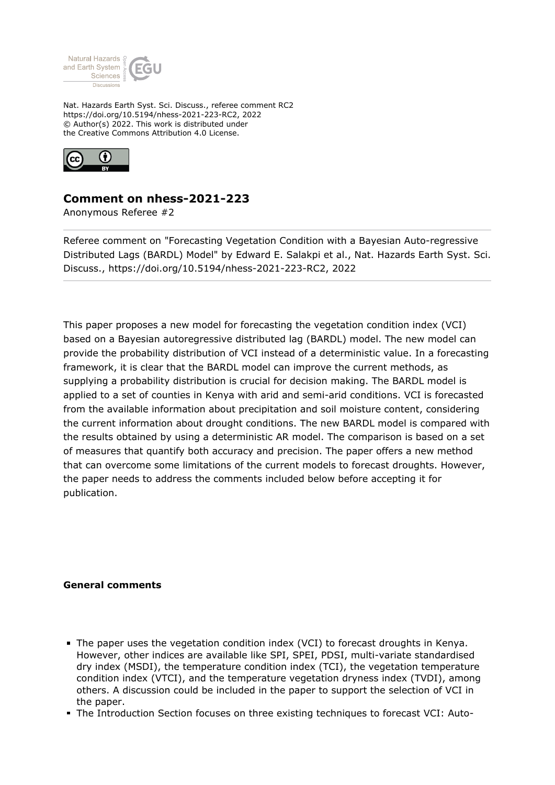

Nat. Hazards Earth Syst. Sci. Discuss., referee comment RC2 https://doi.org/10.5194/nhess-2021-223-RC2, 2022 © Author(s) 2022. This work is distributed under the Creative Commons Attribution 4.0 License.



## **Comment on nhess-2021-223**

Anonymous Referee #2

Referee comment on "Forecasting Vegetation Condition with a Bayesian Auto-regressive Distributed Lags (BARDL) Model" by Edward E. Salakpi et al., Nat. Hazards Earth Syst. Sci. Discuss., https://doi.org/10.5194/nhess-2021-223-RC2, 2022

This paper proposes a new model for forecasting the vegetation condition index (VCI) based on a Bayesian autoregressive distributed lag (BARDL) model. The new model can provide the probability distribution of VCI instead of a deterministic value. In a forecasting framework, it is clear that the BARDL model can improve the current methods, as supplying a probability distribution is crucial for decision making. The BARDL model is applied to a set of counties in Kenya with arid and semi-arid conditions. VCI is forecasted from the available information about precipitation and soil moisture content, considering the current information about drought conditions. The new BARDL model is compared with the results obtained by using a deterministic AR model. The comparison is based on a set of measures that quantify both accuracy and precision. The paper offers a new method that can overcome some limitations of the current models to forecast droughts. However, the paper needs to address the comments included below before accepting it for publication.

## **General comments**

- The paper uses the vegetation condition index (VCI) to forecast droughts in Kenya. However, other indices are available like SPI, SPEI, PDSI, multi-variate standardised dry index (MSDI), the temperature condition index (TCI), the vegetation temperature condition index (VTCI), and the temperature vegetation dryness index (TVDI), among others. A discussion could be included in the paper to support the selection of VCI in the paper.
- The Introduction Section focuses on three existing techniques to forecast VCI: Auto-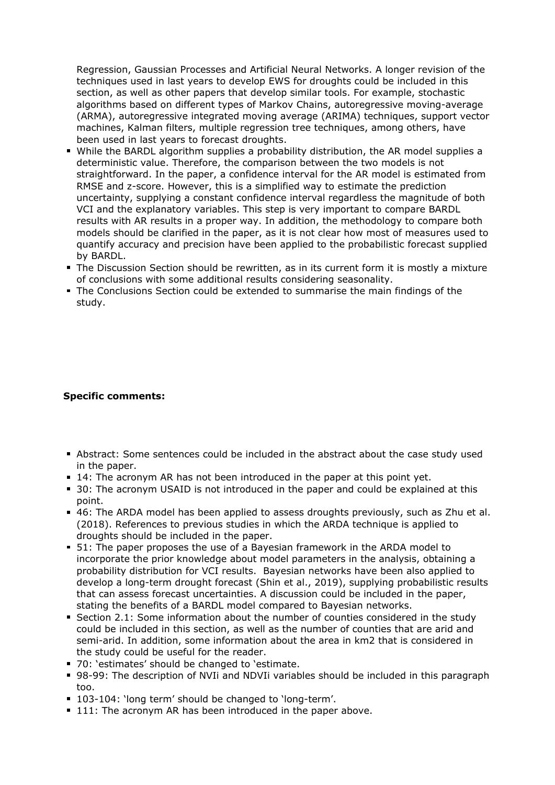Regression, Gaussian Processes and Artificial Neural Networks. A longer revision of the techniques used in last years to develop EWS for droughts could be included in this section, as well as other papers that develop similar tools. For example, stochastic algorithms based on different types of Markov Chains, autoregressive moving-average (ARMA), autoregressive integrated moving average (ARIMA) techniques, support vector machines, Kalman filters, multiple regression tree techniques, among others, have been used in last years to forecast droughts.

- While the BARDL algorithm supplies a probability distribution, the AR model supplies a deterministic value. Therefore, the comparison between the two models is not straightforward. In the paper, a confidence interval for the AR model is estimated from RMSE and z-score. However, this is a simplified way to estimate the prediction uncertainty, supplying a constant confidence interval regardless the magnitude of both VCI and the explanatory variables. This step is very important to compare BARDL results with AR results in a proper way. In addition, the methodology to compare both models should be clarified in the paper, as it is not clear how most of measures used to quantify accuracy and precision have been applied to the probabilistic forecast supplied by BARDL.
- **The Discussion Section should be rewritten, as in its current form it is mostly a mixture** of conclusions with some additional results considering seasonality.
- The Conclusions Section could be extended to summarise the main findings of the study.

## **Specific comments:**

- Abstract: Some sentences could be included in the abstract about the case study used in the paper.
- 14: The acronym AR has not been introduced in the paper at this point yet.
- 30: The acronym USAID is not introduced in the paper and could be explained at this point.
- 46: The ARDA model has been applied to assess droughts previously, such as Zhu et al. (2018). References to previous studies in which the ARDA technique is applied to droughts should be included in the paper.
- 51: The paper proposes the use of a Bayesian framework in the ARDA model to incorporate the prior knowledge about model parameters in the analysis, obtaining a probability distribution for VCI results. Bayesian networks have been also applied to develop a long-term drought forecast (Shin et al., 2019), supplying probabilistic results that can assess forecast uncertainties. A discussion could be included in the paper, stating the benefits of a BARDL model compared to Bayesian networks.
- Section 2.1: Some information about the number of counties considered in the study could be included in this section, as well as the number of counties that are arid and semi-arid. In addition, some information about the area in km2 that is considered in the study could be useful for the reader.
- 70: 'estimates' should be changed to 'estimate.
- 98-99: The description of NVIi and NDVIi variables should be included in this paragraph too.
- 103-104: 'long term' should be changed to 'long-term'.
- 111: The acronym AR has been introduced in the paper above.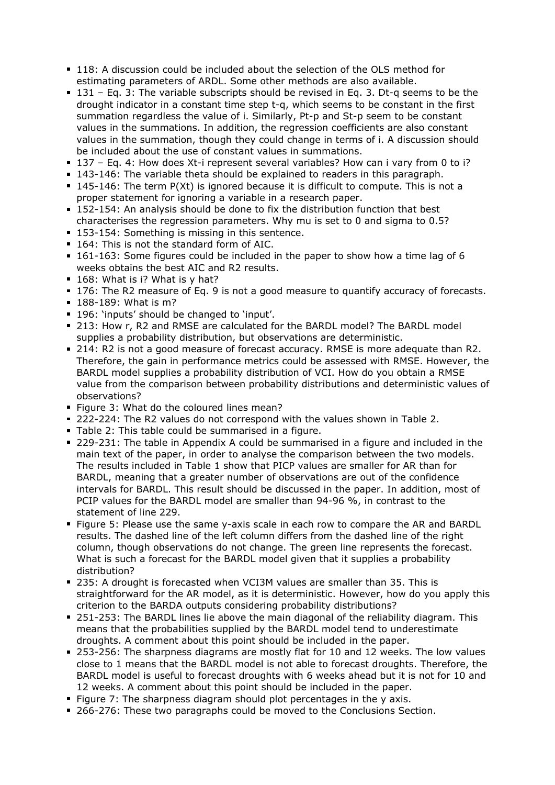- 118: A discussion could be included about the selection of the OLS method for estimating parameters of ARDL. Some other methods are also available.
- $131$  Eq. 3: The variable subscripts should be revised in Eq. 3. Dt-q seems to be the drought indicator in a constant time step t-q, which seems to be constant in the first summation regardless the value of i. Similarly, Pt-p and St-p seem to be constant values in the summations. In addition, the regression coefficients are also constant values in the summation, though they could change in terms of i. A discussion should be included about the use of constant values in summations.
- 137 Eq. 4: How does Xt-i represent several variables? How can i vary from 0 to i?
- 143-146: The variable theta should be explained to readers in this paragraph.
- 145-146: The term P(Xt) is ignored because it is difficult to compute. This is not a proper statement for ignoring a variable in a research paper.
- 152-154: An analysis should be done to fix the distribution function that best characterises the regression parameters. Why mu is set to 0 and sigma to 0.5?
- 153-154: Something is missing in this sentence.
- **164: This is not the standard form of AIC.**
- 161-163: Some figures could be included in the paper to show how a time lag of 6 weeks obtains the best AIC and R2 results.
- 168: What is i? What is y hat?
- 176: The R2 measure of Eq. 9 is not a good measure to quantify accuracy of forecasts.
- **188-189: What is m?**
- 196: 'inputs' should be changed to 'input'.
- 213: How r, R2 and RMSE are calculated for the BARDL model? The BARDL model supplies a probability distribution, but observations are deterministic.
- 214: R2 is not a good measure of forecast accuracy. RMSE is more adequate than R2. Therefore, the gain in performance metrics could be assessed with RMSE. However, the BARDL model supplies a probability distribution of VCI. How do you obtain a RMSE value from the comparison between probability distributions and deterministic values of observations?
- **Figure 3: What do the coloured lines mean?**
- 222-224: The R2 values do not correspond with the values shown in Table 2.
- Table 2: This table could be summarised in a figure.
- 229-231: The table in Appendix A could be summarised in a figure and included in the main text of the paper, in order to analyse the comparison between the two models. The results included in Table 1 show that PICP values are smaller for AR than for BARDL, meaning that a greater number of observations are out of the confidence intervals for BARDL. This result should be discussed in the paper. In addition, most of PCIP values for the BARDL model are smaller than 94-96 %, in contrast to the statement of line 229.
- **Figure 5: Please use the same y-axis scale in each row to compare the AR and BARDL** results. The dashed line of the left column differs from the dashed line of the right column, though observations do not change. The green line represents the forecast. What is such a forecast for the BARDL model given that it supplies a probability distribution?
- 235: A drought is forecasted when VCI3M values are smaller than 35. This is straightforward for the AR model, as it is deterministic. However, how do you apply this criterion to the BARDA outputs considering probability distributions?
- 251-253: The BARDL lines lie above the main diagonal of the reliability diagram. This means that the probabilities supplied by the BARDL model tend to underestimate droughts. A comment about this point should be included in the paper.
- 253-256: The sharpness diagrams are mostly flat for 10 and 12 weeks. The low values close to 1 means that the BARDL model is not able to forecast droughts. Therefore, the BARDL model is useful to forecast droughts with 6 weeks ahead but it is not for 10 and 12 weeks. A comment about this point should be included in the paper.
- Figure 7: The sharpness diagram should plot percentages in the  $y$  axis.
- 266-276: These two paragraphs could be moved to the Conclusions Section.